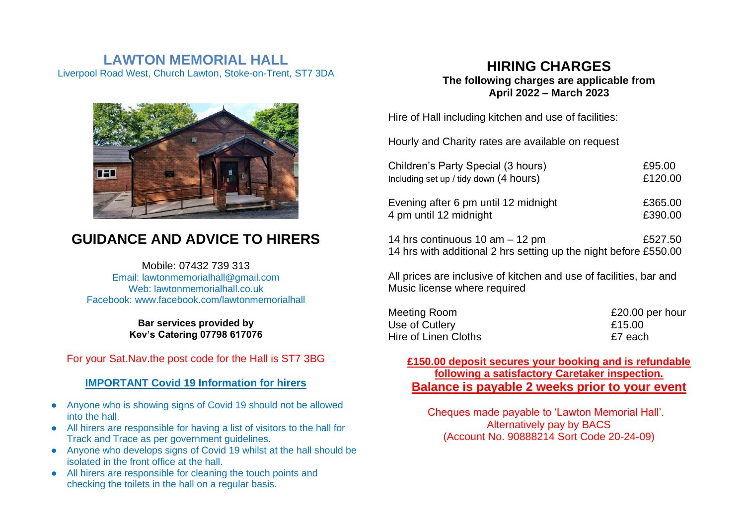# **LAWTON MEMORIAL HALL** Liverpool Road West, Church Lawton, Stoke-on-Trent, ST7 3DA



# **GUIDANCE AND ADVICE TO HIRERS**

Mobile: 07432 739 313 Email: lawtonmemorialhall@gmail.com Web: lawtonmemorialhall.co.uk Facebook: www.facebook.com/lawtonmemorialhall

> **Bar services provided by Kev's Catering 07798 617076**

For your Sat.Nav.the post code for the Hall is ST7 3BG

### **IMPORTANT Covid 19 Information for hirers**

- Anyone who is showing signs of Covid 19 should not be allowed into the hall.
- All hirers are responsible for having a list of visitors to the hall for Track and Trace as per government guidelines.
- Anyone who develops signs of Covid 19 whilst at the hall should be isolated in the front office at the hall.
- All hirers are responsible for cleaning the touch points and checking the toilets in the hall on a regular basis.

## **HIRING CHARGES The following charges are applicable from April 2022 – March 2023**

Hire of Hall including kitchen and use of facilities:

Hourly and Charity rates are available on request

| Children's Party Special (3 hours)                                                                    | £95.00  |
|-------------------------------------------------------------------------------------------------------|---------|
| Including set up / tidy down (4 hours)                                                                | £120.00 |
| Evening after 6 pm until 12 midnight                                                                  | £365.00 |
| 4 pm until 12 midnight                                                                                | £390.00 |
| 14 hrs continuous 10 am $-$ 12 pm<br>14 hrs with additional 2 hrs setting up the night before £550.00 | £527.50 |

All prices are inclusive of kitchen and use of facilities, bar and Music license where required

| Meeting Room         | £20.00 per hour |
|----------------------|-----------------|
| Use of Cutlery       | £15.00          |
| Hire of Linen Cloths | £7 each         |

**£150.00 deposit secures your booking and is refundable following a satisfactory Caretaker inspection. Balance is payable 2 weeks prior to your event**

Cheques made payable to 'Lawton Memorial Hall'. Alternatively pay by BACS (Account No. 90888214 Sort Code 20-24-09)